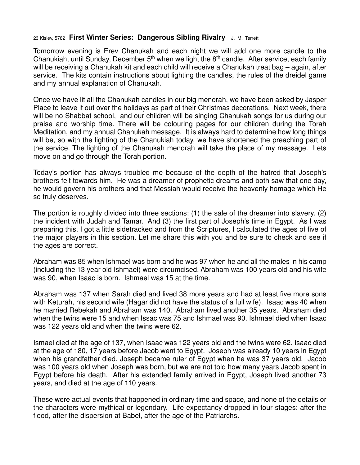## 23 Kislev, 5782 **First Winter Series: Dangerous Sibling Rivalry** J. M. Terrett

Tomorrow evening is Erev Chanukah and each night we will add one more candle to the Chanukiah, until Sunday, December  $5<sup>th</sup>$  when we light the  $8<sup>th</sup>$  candle. After service, each family will be receiving a Chanukah kit and each child will receive a Chanukah treat bag – again, after service. The kits contain instructions about lighting the candles, the rules of the dreidel game and my annual explanation of Chanukah.

Once we have lit all the Chanukah candles in our big menorah, we have been asked by Jasper Place to leave it out over the holidays as part of their Christmas decorations. Next week, there will be no Shabbat school, and our children will be singing Chanukah songs for us during our praise and worship time. There will be colouring pages for our children during the Torah Meditation, and my annual Chanukah message. It is always hard to determine how long things will be, so with the lighting of the Chanukiah today, we have shortened the preaching part of the service. The lighting of the Chanukah menorah will take the place of my message. Lets move on and go through the Torah portion.

Today's portion has always troubled me because of the depth of the hatred that Joseph's brothers felt towards him. He was a dreamer of prophetic dreams and both saw that one day, he would govern his brothers and that Messiah would receive the heavenly homage which He so truly deserves.

The portion is roughly divided into three sections: (1) the sale of the dreamer into slavery. (2) the incident with Judah and Tamar. And (3) the first part of Joseph's time in Egypt. As I was preparing this, I got a little sidetracked and from the Scriptures, I calculated the ages of five of the major players in this section. Let me share this with you and be sure to check and see if the ages are correct.

Abraham was 85 when Ishmael was born and he was 97 when he and all the males in his camp (including the 13 year old Ishmael) were circumcised. Abraham was 100 years old and his wife was 90, when Isaac is born. Ishmael was 15 at the time.

Abraham was 137 when Sarah died and lived 38 more years and had at least five more sons with Keturah, his second wife (Hagar did not have the status of a full wife). Isaac was 40 when he married Rebekah and Abraham was 140. Abraham lived another 35 years. Abraham died when the twins were 15 and when Issac was 75 and Ishmael was 90. Ishmael died when Isaac was 122 years old and when the twins were 62.

Ismael died at the age of 137, when Isaac was 122 years old and the twins were 62. Isaac died at the age of 180, 17 years before Jacob went to Egypt. Joseph was already 10 years in Egypt when his grandfather died. Joseph became ruler of Egypt when he was 37 years old. Jacob was 100 years old when Joseph was born, but we are not told how many years Jacob spent in Egypt before his death. After his extended family arrived in Egypt, Joseph lived another 73 years, and died at the age of 110 years.

These were actual events that happened in ordinary time and space, and none of the details or the characters were mythical or legendary. Life expectancy dropped in four stages: after the flood, after the dispersion at Babel, after the age of the Patriarchs.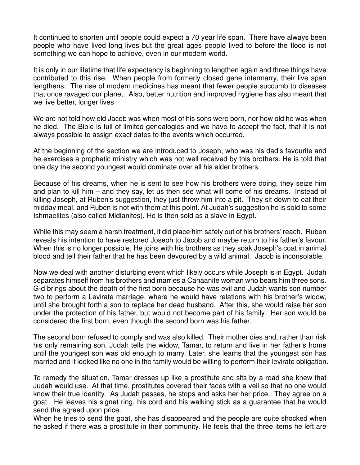It continued to shorten until people could expect a 70 year life span. There have always been people who have lived long lives but the great ages people lived to before the flood is not something we can hope to achieve, even in our modern world.

It is only in our lifetime that life expectancy is beginning to lengthen again and three things have contributed to this rise. When people from formerly closed gene intermarry, their live span lengthens. The rise of modern medicines has meant that fewer people succumb to diseases that once ravaged our planet. Also, better nutrition and improved hygiene has also meant that we live better, longer lives

We are not told how old Jacob was when most of his sons were born, nor how old he was when he died. The Bible is full of limited genealogies and we have to accept the fact, that it is not always possible to assign exact dates to the events which occurred.

At the beginning of the section we are introduced to Joseph, who was his dad's favourite and he exercises a prophetic ministry which was not well received by this brothers. He is told that one day the second youngest would dominate over all his elder brothers.

Because of his dreams, when he is sent to see how his brothers were doing, they seize him and plan to kill him – and they say, let us then see what will come of his dreams. Instead of killing Joseph, at Ruben's suggestion, they just throw him into a pit. They sit down to eat their midday meal, and Ruben is not with them at this point. At Judah's suggestion he is sold to some Ishmaelites (also called Midianites). He is then sold as a slave in Egypt.

While this may seem a harsh treatment, it did place him safely out of his brothers' reach. Ruben reveals his intention to have restored Joseph to Jacob and maybe return to his father's favour. When this is no longer possible, He joins with his brothers as they soak Joseph's coat in animal blood and tell their father that he has been devoured by a wild animal. Jacob is inconsolable.

Now we deal with another disturbing event which likely occurs while Joseph is in Egypt. Judah separates himself from his brothers and marries a Canaanite woman who bears him three sons. G-d brings about the death of the first born because he was evil and Judah wants son number two to perform a Levirate marriage, where he would have relations with his brother's widow, until she brought forth a son to replace her dead husband. After this, she would raise her son under the protection of his father, but would not become part of his family. Her son would be considered the first born, even though the second born was his father.

The second born refused to comply and was also killed. Their mother dies and, rather than risk his only remaining son, Judah tells the widow, Tamar, to return and live in her father's home until the youngest son was old enough to marry. Later, she learns that the youngest son has married and it looked like no one in the family would be willing to perform their levirate obligation.

To remedy the situation, Tamar dresses up like a prostitute and sits by a road she knew that Judah would use. At that time, prostitutes covered their faces with a veil so that no one would know their true identity. As Judah passes, he stops and asks her her price. They agree on a goat. He leaves his signet ring, his cord and his walking stick as a guarantee that he would send the agreed upon price.

When he tries to send the goat, she has disappeared and the people are quite shocked when he asked if there was a prostitute in their community. He feels that the three items he left are